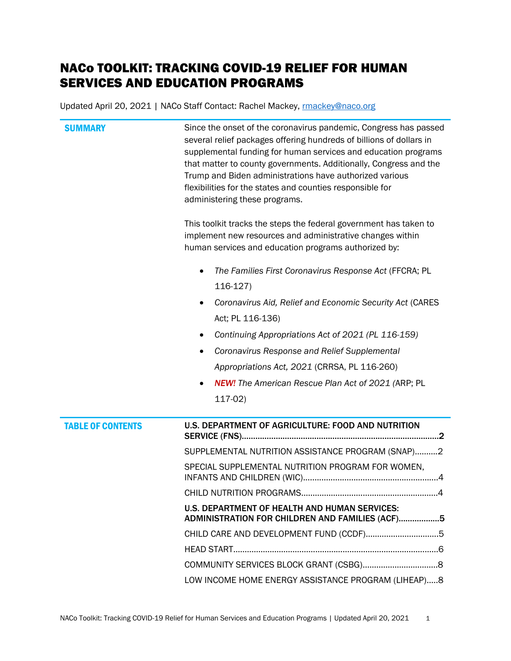# NACo TOOLKIT: TRACKING COVID-19 RELIEF FOR HUMAN SERVICES AND EDUCATION PROGRAMS

Updated April 20, 2021 | NACo Staff Contact: Rachel Mackey, mackey@naco.org

| <b>SUMMARY</b>           | Since the onset of the coronavirus pandemic, Congress has passed<br>several relief packages offering hundreds of billions of dollars in<br>supplemental funding for human services and education programs<br>that matter to county governments. Additionally, Congress and the<br>Trump and Biden administrations have authorized various<br>flexibilities for the states and counties responsible for<br>administering these programs. |
|--------------------------|-----------------------------------------------------------------------------------------------------------------------------------------------------------------------------------------------------------------------------------------------------------------------------------------------------------------------------------------------------------------------------------------------------------------------------------------|
|                          | This toolkit tracks the steps the federal government has taken to<br>implement new resources and administrative changes within<br>human services and education programs authorized by:                                                                                                                                                                                                                                                  |
|                          | The Families First Coronavirus Response Act (FFCRA; PL<br>$\bullet$<br>$116-127$                                                                                                                                                                                                                                                                                                                                                        |
|                          | Coronavirus Aid, Relief and Economic Security Act (CARES<br>Act; PL 116-136)                                                                                                                                                                                                                                                                                                                                                            |
|                          | Continuing Appropriations Act of 2021 (PL 116-159)<br>٠                                                                                                                                                                                                                                                                                                                                                                                 |
|                          | Coronavirus Response and Relief Supplemental                                                                                                                                                                                                                                                                                                                                                                                            |
|                          | Appropriations Act, 2021 (CRRSA, PL 116-260)                                                                                                                                                                                                                                                                                                                                                                                            |
|                          | <b>NEW!</b> The American Rescue Plan Act of 2021 (ARP; PL<br>$117-02$                                                                                                                                                                                                                                                                                                                                                                   |
| <b>TABLE OF CONTENTS</b> | U.S. DEPARTMENT OF AGRICULTURE: FOOD AND NUTRITION                                                                                                                                                                                                                                                                                                                                                                                      |
|                          | SUPPLEMENTAL NUTRITION ASSISTANCE PROGRAM (SNAP)2                                                                                                                                                                                                                                                                                                                                                                                       |
|                          | SPECIAL SUPPLEMENTAL NUTRITION PROGRAM FOR WOMEN,                                                                                                                                                                                                                                                                                                                                                                                       |
|                          | .4                                                                                                                                                                                                                                                                                                                                                                                                                                      |
|                          | U.S. DEPARTMENT OF HEALTH AND HUMAN SERVICES:<br>ADMINISTRATION FOR CHILDREN AND FAMILIES (ACF)5                                                                                                                                                                                                                                                                                                                                        |
|                          | CHILD CARE AND DEVELOPMENT FUND (CCDF)5                                                                                                                                                                                                                                                                                                                                                                                                 |
|                          |                                                                                                                                                                                                                                                                                                                                                                                                                                         |
|                          |                                                                                                                                                                                                                                                                                                                                                                                                                                         |
|                          | LOW INCOME HOME ENERGY ASSISTANCE PROGRAM (LIHEAP)8                                                                                                                                                                                                                                                                                                                                                                                     |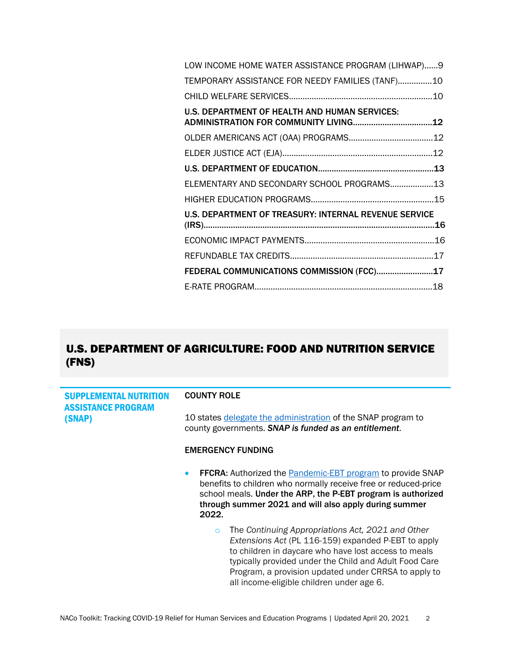| LOW INCOME HOME WATER ASSISTANCE PROGRAM (LIHWAP)9    |  |
|-------------------------------------------------------|--|
| TEMPORARY ASSISTANCE FOR NEEDY FAMILIES (TANF)10      |  |
|                                                       |  |
| U.S. DEPARTMENT OF HEALTH AND HUMAN SERVICES:         |  |
|                                                       |  |
|                                                       |  |
|                                                       |  |
| ELEMENTARY AND SECONDARY SCHOOL PROGRAMS13            |  |
|                                                       |  |
| U.S. DEPARTMENT OF TREASURY: INTERNAL REVENUE SERVICE |  |
|                                                       |  |
|                                                       |  |
| FEDERAL COMMUNICATIONS COMMISSION (FCC)17             |  |
|                                                       |  |

# <span id="page-1-0"></span>U.S. DEPARTMENT OF AGRICULTURE: FOOD AND NUTRITION SERVICE (FNS)

<span id="page-1-1"></span>

| <b>SUPPLEMENTAL NUTRITION</b>       | <b>COUNTY ROLE</b>                                                                                                                                                                                                                                                                                                                         |
|-------------------------------------|--------------------------------------------------------------------------------------------------------------------------------------------------------------------------------------------------------------------------------------------------------------------------------------------------------------------------------------------|
| <b>ASSISTANCE PROGRAM</b><br>(SNAP) | 10 states delegate the administration of the SNAP program to<br>county governments. SNAP is funded as an entitlement.                                                                                                                                                                                                                      |
|                                     | <b>EMERGENCY FUNDING</b>                                                                                                                                                                                                                                                                                                                   |
|                                     | <b>FFCRA:</b> Authorized the Pandemic-EBT program to provide SNAP<br>$\bullet$<br>benefits to children who normally receive free or reduced-price<br>school meals. Under the ARP, the P-EBT program is authorized<br>through summer 2021 and will also apply during summer<br>2022.                                                        |
|                                     | The Continuing Appropriations Act, 2021 and Other<br>$\circ$<br>Extensions Act (PL 116-159) expanded P-EBT to apply<br>to children in daycare who have lost access to meals<br>typically provided under the Child and Adult Food Care<br>Program, a provision updated under CRRSA to apply to<br>all income-eligible children under age 6. |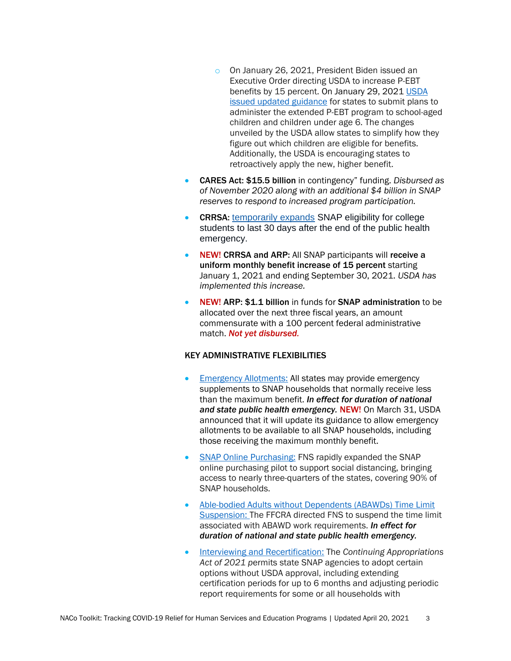- o On January 26, 2021, President Biden issued an Executive Order directing USDA to increase P-EBT benefits by 15 percent. On January 29, 2021 USDA [issued updated guidance](https://www.fns.usda.gov/snap/state-guidance-coronavirus-pandemic-ebt-pebt) for states to submit plans to administer the extended P-EBT program to school-aged children and children under age 6. The changes unveiled by the USDA allow states to simplify how they figure out which children are eligible for benefits. Additionally, the USDA is encouraging states to retroactively apply the new, higher benefit.
- CARES Act: \$15.5 billion in contingency" funding. *Disbursed as of November 2020 along with an additional \$4 billion in SNAP reserves to respond to increased program participation.*
- CRRSA: [temporarily expands](https://www.fns.usda.gov/snap/provisions-consolidated-appropriations-act-2021) SNAP eligibility for college students to last 30 days after the end of the public health emergency.
- NEW! CRRSA and ARP: All SNAP participants will receive a uniform monthly benefit increase of 15 percent starting January 1, 2021 and ending September 30, 2021. *USDA has implemented this increase.*
- NEW! ARP: \$1.1 billion in funds for SNAP administration to be allocated over the next three fiscal years, an amount commensurate with a 100 percent federal administrative match. *Not yet disbursed.*

#### KEY ADMINISTRATIVE FLEXIBILITIES

- [Emergency Allotments:](https://www.fns.usda.gov/snap/covid-19-emergency-allotments-guidance) All states may provide emergency supplements to SNAP households that normally receive less than the maximum benefit. *In effect for duration of national and state public health emergency.* NEW!On March 31, USDA announced that it will update its guidance to allow emergency allotments to be available to all SNAP households, including those receiving the maximum monthly benefit.
- [SNAP Online Purchasing:](https://www.fns.usda.gov/snap/online-purchasing-pilot) FNS rapidly expanded the SNAP online purchasing pilot to support social distancing, bringing access to nearly three-quarters of the states, covering 90% of SNAP households.
- [Able-bodied Adults without Dependents \(ABAWDs\) Time Limit](https://www.fns.usda.gov/snap/ffcra-impact-time-limit-abawds)  [Suspension:](https://www.fns.usda.gov/snap/ffcra-impact-time-limit-abawds) The FFCRA directed FNS to suspend the time limit associated with ABAWD work requirements. *In effect for duration of national and state public health emergency.*
- [Interviewing and Recertification:](https://www.fns.usda.gov/snap/cr-state-options) The *Continuing Appropriations Act of 2021 p*ermits state SNAP agencies to adopt certain options without USDA approval, including extending certification periods for up to 6 months and adjusting periodic report requirements for some or all households with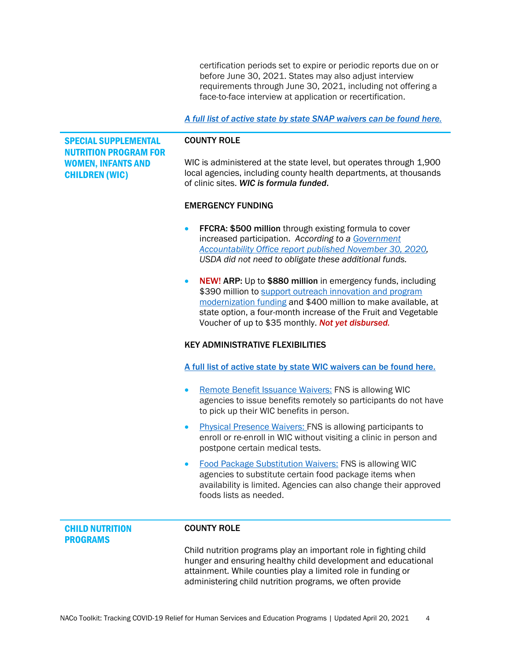certification periods set to expire or periodic reports due on or before June 30, 2021. States may also adjust interview requirements through June 30, 2021, including not offering a face-to-face interview at application or recertification.

#### *[A full list of active state by state SNAP waivers can be found here.](https://www.fns.usda.gov/disaster/pandemic/covid-19/snap-waivers-flexibilities)*

<span id="page-3-0"></span>SPECIAL SUPPLEMENTAL NUTRITION PROGRAM FOR WOMEN, INFANTS AND CHILDREN (WIC)

#### COUNTY ROLE

WIC is administered at the state level, but operates through 1,900 local agencies, including county health departments, at thousands of clinic sites. *WIC is formula funded*.

#### EMERGENCY FUNDING

- **FFCRA: \$500 million through existing formula to cover** increased participation. *According to a [Government](https://www.gao.gov/reports/GAO-21-191/#Highlights)  [Accountability Office report published November 30, 2020,](https://www.gao.gov/reports/GAO-21-191/#Highlights) USDA did not need to obligate these additional funds.*
- NEW! ARP: Up to \$880 million in emergency funds, including \$390 million to support outreach innovation and program [modernization funding](https://www.fns.usda.gov/wic/american-rescue-plan-act-program-modernization) and \$400 million to make available, at state option, a four-month increase of the Fruit and Vegetable Voucher of up to \$35 monthly. *Not yet disbursed.*

#### KEY ADMINISTRATIVE FLEXIBILITIES

[A full list of active state by state WIC waivers can be found here.](https://www.fns.usda.gov/disaster/pandemic/covid-19/wic-waivers-flexibilities)

- [Remote Benefit Issuance Waivers:](https://www.fns.usda.gov/disaster/pandemic/covid-19/wic-remote-benefit-issuance-waiver) FNS is allowing WIC agencies to issue benefits remotely so participants do not have to pick up their WIC benefits in person.
- [Physical Presence Waivers:](https://www.fns.usda.gov/disaster/pandemic/covid-19/wic-physical-presence-waiver) FNS is allowing participants to enroll or re-enroll in WIC without visiting a clinic in person and postpone certain medical tests.
- [Food Package Substitution Waivers:](https://www.fns.usda.gov/wic/food-package-substitution-waiver) FNS is allowing WIC agencies to substitute certain food package items when availability is limited. Agencies can also change their approved foods lists as needed.

#### <span id="page-3-1"></span>CHILD NUTRITION PROGRAMS

#### COUNTY ROLE

Child nutrition programs play an important role in fighting child hunger and ensuring healthy child development and educational attainment. While counties play a limited role in funding or administering child nutrition programs, we often provide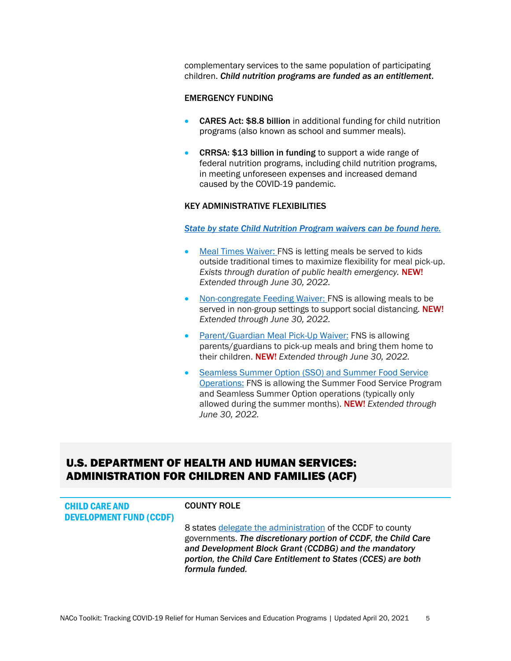complementary services to the same population of participating children. *Child nutrition programs are funded as an entitlement*.

#### EMERGENCY FUNDING

- **CARES Act: \$8.8 billion** in additional funding for child nutrition programs (also known as school and summer meals).
- CRRSA: \$13 billion in funding to support a wide range of federal nutrition programs, including child nutrition programs, in meeting unforeseen expenses and increased demand caused by the COVID-19 pandemic.

#### KEY ADMINISTRATIVE FLEXIBILITIES

*[State by state Child Nutrition Program waivers can be found here.](https://www.fns.usda.gov/disaster/pandemic/covid-19/cn-waivers-flexibilities)*

- [Meal Times Waiver:](https://www.fns.usda.gov/cn/covid-19-meal-times-nationwide-waiver) FNS is letting meals be served to kids outside traditional times to maximize flexibility for meal pick-up. *Exists through duration of public health emergency.* NEW! *Extended through June 30, 2022.*
- [Non-congregate Feeding Waiver](https://www.fns.usda.gov/cn/covid-19-non-congregate-feeding-nationwide-waiver): FNS is allowing meals to be served in non-group settings to support social distancing. NEW! *Extended through June 30, 2022.*
- [Parent/Guardian Meal Pick-Up Waiver:](https://www.fns.usda.gov/cn/covid-19-parents-and-guardians-waiver) FNS is allowing parents/guardians to pick-up meals and bring them home to their children. NEW! *Extended through June 30, 2022.*
- [Seamless Summer Option \(SSO\) and Summer Food Service](https://www.fns.usda.gov/disaster/pandemic/covid-19/cn-extension-SFSP-SSO)  [Operations:](https://www.fns.usda.gov/disaster/pandemic/covid-19/cn-extension-SFSP-SSO) FNS is allowing the Summer Food Service Program and Seamless Summer Option operations (typically only allowed during the summer months). NEW! *Extended through June 30, 2022.*

## <span id="page-4-0"></span>U.S. DEPARTMENT OF HEALTH AND HUMAN SERVICES: ADMINISTRATION FOR CHILDREN AND FAMILIES (ACF)

<span id="page-4-1"></span>

| <b>CHILD CARE AND</b><br><b>DEVELOPMENT FUND (CCDF)</b> | <b>COUNTY ROLE</b>                                                                                                                                                                                                                                                        |
|---------------------------------------------------------|---------------------------------------------------------------------------------------------------------------------------------------------------------------------------------------------------------------------------------------------------------------------------|
|                                                         | 8 states delegate the administration of the CCDF to county<br>governments. The discretionary portion of CCDF, the Child Care<br>and Development Block Grant (CCDBG) and the mandatory<br>portion, the Child Care Entitlement to States (CCES) are both<br>formula funded. |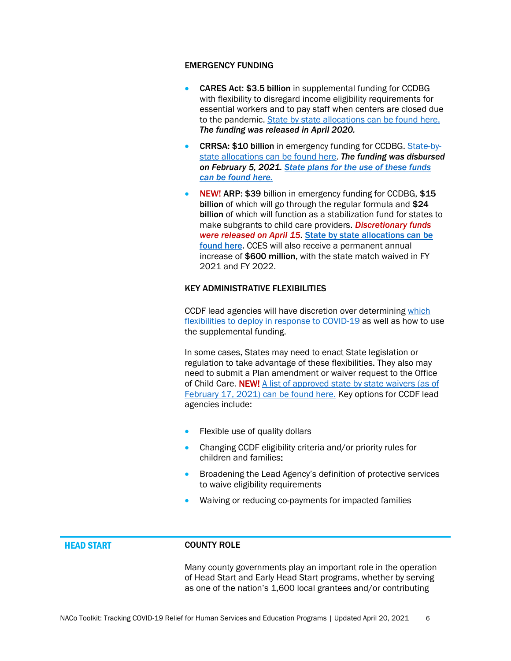#### EMERGENCY FUNDING

- CARES Act: \$3.5 billion in supplemental funding for CCDBG with flexibility to disregard income eligibility requirements for essential workers and to pay staff when centers are closed due to the pandemic. [State by state allocations can be found here.](https://www.acf.hhs.gov/occ/resource/2020-cares-act-ccdbg-supplemental-funding-allocations-for-states-and-territories) *The funding was released in April 2020.*
- CRRSA: \$10 billion in emergency funding for CCDBG. [State-by](https://www.acf.hhs.gov/occ/data/crrsa-2021-allocations-states-and-territories)[state allocations can be found here.](https://www.acf.hhs.gov/occ/data/crrsa-2021-allocations-states-and-territories) *The funding was disbursed on February 5, 2021. [State plans for the use of these funds](https://acf.hhs.gov/occ/training-technical-assistance/office-child-care-covid-19-resources)  [can be found here.](https://acf.hhs.gov/occ/training-technical-assistance/office-child-care-covid-19-resources)*
- NEW! ARP: \$39 billion in emergency funding for CCDBG, \$15 billion of which will go through the regular formula and \$24 billion of which will function as a stabilization fund for states to make subgrants to child care providers. *Discretionary funds were released on April 15.* [State by state allocations can](https://www.whitehouse.gov/briefing-room/statements-releases/2021/04/15/fact-sheet-biden-harris-administration-announces-american-rescue-plan-funding-to-rescue-the-child-care-industry-so-the-economy-can-recover/) be [found here.](https://www.whitehouse.gov/briefing-room/statements-releases/2021/04/15/fact-sheet-biden-harris-administration-announces-american-rescue-plan-funding-to-rescue-the-child-care-industry-so-the-economy-can-recover/) CCES will also receive a permanent annual increase of \$600 million, with the state match waived in FY 2021 and FY 2022.

#### KEY ADMINISTRATIVE FLEXIBILITIES

CCDF lead agencies will have discretion over determining [which](https://www.acf.hhs.gov/occ/resource/info-about-covid-19-for-ccdf-lead-agencies-relevant-flexibilities-in-ccdf-law)  [flexibilities to deploy in response to COVID-19](https://www.acf.hhs.gov/occ/resource/info-about-covid-19-for-ccdf-lead-agencies-relevant-flexibilities-in-ccdf-law) as well as how to use the supplemental funding.

In some cases, States may need to enact State legislation or regulation to take advantage of these flexibilities. They also may need to submit a Plan amendment or waiver request to the Office of Child Care. NEW! A list of approved state by state waivers (as of [February 17, 2021\) can be found here.](https://www.acf.hhs.gov/sites/default/files/documents/occ/summary_of_waiver_approvals.pdf) Key options for CCDF lead agencies include:

- Flexible use of quality dollars
- Changing CCDF eligibility criteria and/or priority rules for children and families:
- Broadening the Lead Agency's definition of protective services to waive eligibility requirements
- Waiving or reducing co-payments for impacted families

#### <span id="page-5-0"></span>HEAD START COUNTY ROLE

Many county governments play an important role in the operation of Head Start and Early Head Start programs, whether by serving as one of the nation's 1,600 local grantees and/or contributing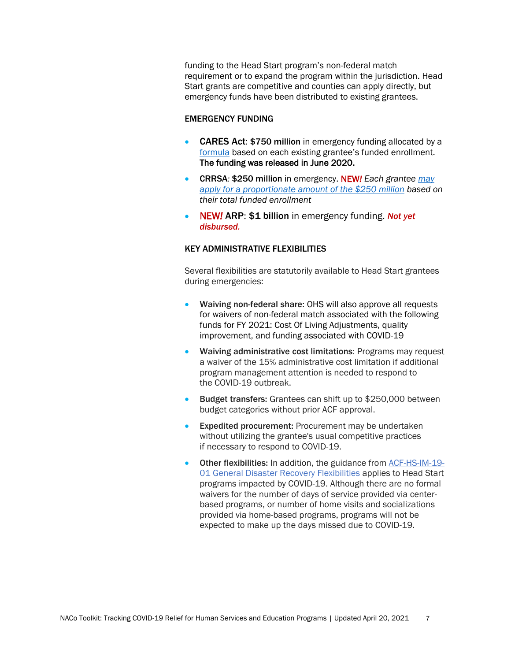funding to the Head Start program's non-federal match requirement or to expand the program within the jurisdiction. Head Start grants are competitive and counties can apply directly, but emergency funds have been distributed to existing grantees.

#### EMERGENCY FUNDING

- CARES Act: \$750 million in emergency funding allocated by a [formula](https://eclkc.ohs.acf.hhs.gov/policy/pi/acf-pi-hs-20-04) based on each existing grantee's funded enrollment. The funding was released in June 2020.
- CRRSA*:* \$250 million in emergency. NEW*! Each grantee [may](https://eclkc.ohs.acf.hhs.gov/policy/pi/acf-pi-hs-21-01)  [apply for a proportionate amount of the \\$250 million](https://eclkc.ohs.acf.hhs.gov/policy/pi/acf-pi-hs-21-01) based on their total funded enrollment*
- NEW*!* ARP: \$1 billion in emergency funding. *Not yet disbursed.*

#### KEY ADMINISTRATIVE FLEXIBILITIES

Several flexibilities are statutorily available to Head Start grantees during emergencies:

- Waiving non-federal share: OHS will also approve all requests for waivers of non-federal match associated with the following funds for FY 2021: Cost Of Living Adjustments, quality improvement, and funding associated with COVID-19
- Waiving administrative cost limitations: Programs may request a waiver of the 15% administrative cost limitation if additional program management attention is needed to respond to the COVID-19 outbreak.
- Budget transfers: Grantees can shift up to \$250,000 between budget categories without prior ACF approval.
- Expedited procurement: Procurement may be undertaken without utilizing the grantee's usual competitive practices if necessary to respond to COVID-19.
- Other flexibilities: In addition, the guidance from [ACF-HS-IM-19-](https://eclkc.ohs.acf.hhs.gov/policy/im/acf-im-hs-19-01) [01 General Disaster Recovery Flexibilities](https://eclkc.ohs.acf.hhs.gov/policy/im/acf-im-hs-19-01) applies to Head Start programs impacted by COVID-19. Although there are no formal waivers for the number of days of service provided via centerbased programs, or number of home visits and socializations provided via home-based programs, programs will not be expected to make up the days missed due to COVID-19.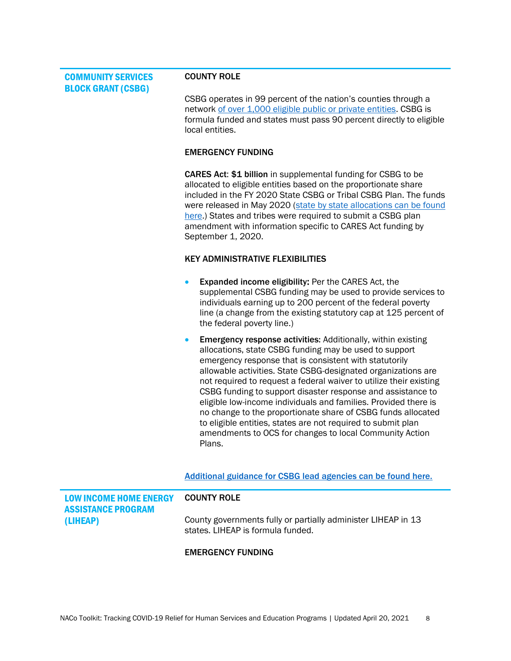<span id="page-7-0"></span>COMMUNITY SERVICES BLOCK GRANT (CSBG)

#### COUNTY ROLE

CSBG operates in 99 percent of the nation's counties through a network [of over 1,000 eligible public or private entities.](https://www.naco.org/resources/support-community-services-block-grant-csbg-1) CSBG is formula funded and states must pass 90 percent directly to eligible local entities.

#### EMERGENCY FUNDING

CARES Act: \$1 billion in supplemental funding for CSBG to be allocated to eligible entities based on the proportionate share included in the FY 2020 State CSBG or Tribal CSBG Plan. The funds were released in May 2020 [\(state by state allocations can be found](https://www.acf.hhs.gov/sites/default/files/ocs/comm_csbg_cares_act_supplemental_projected_allocations_fy2020.pdf)  [here.](https://www.acf.hhs.gov/sites/default/files/ocs/comm_csbg_cares_act_supplemental_projected_allocations_fy2020.pdf)) States and tribes were required to submit a CSBG plan amendment with information specific to CARES Act funding by September 1, 2020.

#### KEY ADMINISTRATIVE FLEXIBILITIES

- Expanded income eligibility: Per the CARES Act, the supplemental CSBG funding may be used to provide services to individuals earning up to 200 percent of the federal poverty line (a change from the existing statutory cap at 125 percent of the federal poverty line.)
- **Emergency response activities: Additionally, within existing** allocations, state CSBG funding may be used to support emergency response that is consistent with statutorily allowable activities. State CSBG-designated organizations are not required to request a federal waiver to utilize their existing CSBG funding to support disaster response and assistance to eligible low-income individuals and families. Provided there is no change to the proportionate share of CSBG funds allocated to eligible entities, states are not required to submit plan amendments to OCS for changes to local Community Action Plans.

[Additional guidance for CSBG lead agencies can be found here.](https://www.acf.hhs.gov/ocs/resource/csbg-im-2020-157-immediate-guidance-on-covid-19-response)

<span id="page-7-1"></span>

| <b>LOW INCOME HOME ENERGY</b><br><b>ASSISTANCE PROGRAM</b> | <b>COUNTY ROLE</b>                                                                                 |
|------------------------------------------------------------|----------------------------------------------------------------------------------------------------|
| (LIHEAP)                                                   | County governments fully or partially administer LIHEAP in 13<br>states. LIHEAP is formula funded. |

#### EMERGENCY FUNDING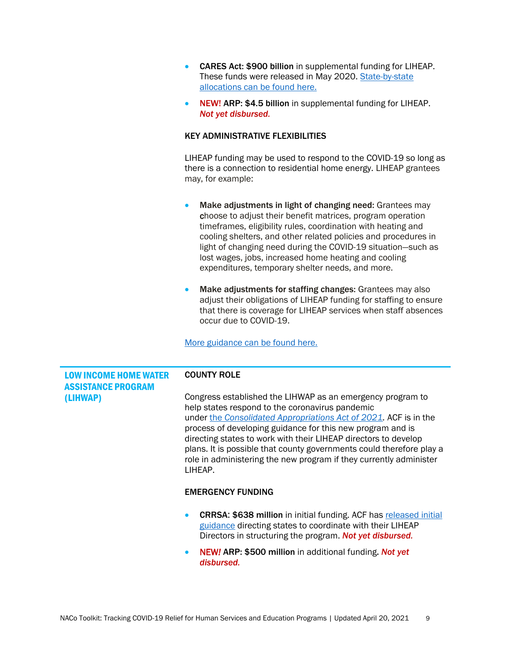- CARES Act: \$900 billion in supplemental funding for LIHEAP. These funds were released in May 2020. [State-by-state](https://www.acf.hhs.gov/sites/default/files/ocs/comm_liheap_supplreleasedclstatesterrs_fy2020.pdf)  [allocations can be found here.](https://www.acf.hhs.gov/sites/default/files/ocs/comm_liheap_supplreleasedclstatesterrs_fy2020.pdf)
- NEW! ARP: \$4.5 billion in supplemental funding for LIHEAP. *Not yet disbursed.*

#### KEY ADMINISTRATIVE FLEXIBILITIES

LIHEAP funding may be used to respond to the COVID-19 so long as there is a connection to residential home energy. LIHEAP grantees may, for example:

- Make adjustments in light of changing need: Grantees may choose to adjust their benefit matrices, program operation timeframes, eligibility rules, coordination with heating and cooling shelters, and other related policies and procedures in light of changing need during the COVID-19 situation—such as lost wages, jobs, increased home heating and cooling expenditures, temporary shelter needs, and more.
- Make adjustments for staffing changes: Grantees may also adjust their obligations of LIHEAP funding for staffing to ensure that there is coverage for LIHEAP services when staff absences occur due to COVID-19.

[More guidance can be found here.](https://www.acf.hhs.gov/ocs/resource/liheap-dcl-initial-covid-19-program-guidance)

<span id="page-8-0"></span>

| <b>LOW INCOME HOME WATER</b><br><b>ASSISTANCE PROGRAM</b> | <b>COUNTY ROLE</b>                                                                                                                                                                                                                                                                                                                                                                                                                                                          |
|-----------------------------------------------------------|-----------------------------------------------------------------------------------------------------------------------------------------------------------------------------------------------------------------------------------------------------------------------------------------------------------------------------------------------------------------------------------------------------------------------------------------------------------------------------|
| (LIHWAP)                                                  | Congress established the LIHWAP as an emergency program to<br>help states respond to the coronavirus pandemic<br>under the Consolidated Appropriations Act of 2021. ACF is in the<br>process of developing guidance for this new program and is<br>directing states to work with their LIHEAP directors to develop<br>plans. It is possible that county governments could therefore play a<br>role in administering the new program if they currently administer<br>LIHEAP. |
|                                                           | <b>EMERGENCY FUNDING</b>                                                                                                                                                                                                                                                                                                                                                                                                                                                    |
|                                                           | <b>CRRSA: \$638 million</b> in initial funding. ACF has released initial<br>$\bullet$<br>guidance directing states to coordinate with their LIHEAP<br>Directors in structuring the program. Not yet disbursed.                                                                                                                                                                                                                                                              |
|                                                           | NEW! ARP: \$500 million in additional funding. Not yet<br>$\bullet$<br>disbursed.                                                                                                                                                                                                                                                                                                                                                                                           |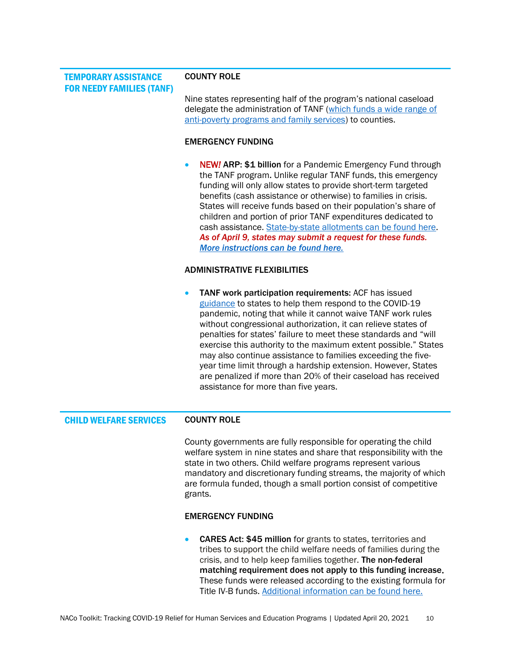<span id="page-9-0"></span>TEMPORARY ASSISTANCE FOR NEEDY FAMILIES (TANF)

#### COUNTY ROLE

Nine states representing half of the program's national caseload delegate the administration of TANF [\(which funds a wide range of](file:///C:/Users/rmerker/Downloads/Eight%20states%20representing%20half%20of%20total%20participants%20delegate%20the%20administration%20of%20TANF%20(which%20funds%20a%20wide%20range%20of%20anti-poverty%20programs%20and%20family%20services)%20to%20counties)  [anti-poverty programs and family services\)](file:///C:/Users/rmerker/Downloads/Eight%20states%20representing%20half%20of%20total%20participants%20delegate%20the%20administration%20of%20TANF%20(which%20funds%20a%20wide%20range%20of%20anti-poverty%20programs%20and%20family%20services)%20to%20counties) to counties.

#### EMERGENCY FUNDING

• NEW*!* ARP: \$1 billion for a Pandemic Emergency Fund through the TANF program. Unlike regular TANF funds, this emergency funding will only allow states to provide short-term targeted benefits (cash assistance or otherwise) to families in crisis. States will receive funds based on their population's share of children and portion of prior TANF expenditures dedicated to cash assistance. [State-by-state allotments can be found here.](https://www.acf.hhs.gov/sites/default/files/documents/ofa/State-pandemic-emergency-asssistance-fund-allotment-Table.pdf) *As of April 9, states may submit a request for these funds. [More instructions can be found here.](https://www.acf.hhs.gov/ofa/policy-guidance/tanf-acf-pi-2021-03)*

#### ADMINISTRATIVE FLEXIBILITIES

TANF work participation requirements: ACF has issued [guidance](https://www.acf.hhs.gov/ofa/resource/tanf-acf-pi-2020-01) to states to help them respond to the COVID-19 pandemic, noting that while it cannot waive TANF work rules without congressional authorization, it can relieve states of penalties for states' failure to meet these standards and "will exercise this authority to the maximum extent possible." States may also continue assistance to families exceeding the fiveyear time limit through a hardship extension. However, States are penalized if more than 20% of their caseload has received assistance for more than five years.

### <span id="page-9-1"></span>CHILD WELFARE SERVICES COUNTY ROLE

County governments are fully responsible for operating the child welfare system in nine states and share that responsibility with the state in two others. Child welfare programs represent various mandatory and discretionary funding streams, the majority of which are formula funded, though a small portion consist of competitive grants.

#### EMERGENCY FUNDING

• CARES Act: \$45 million for grants to states, territories and tribes to support the child welfare needs of families during the crisis, and to help keep families together. The non-federal matching requirement does not apply to this funding increase. These funds were released according to the existing formula for Title IV-B funds. [Additional information can be found here.](https://www.acf.hhs.gov/sites/default/files/cb/im2005.pdf)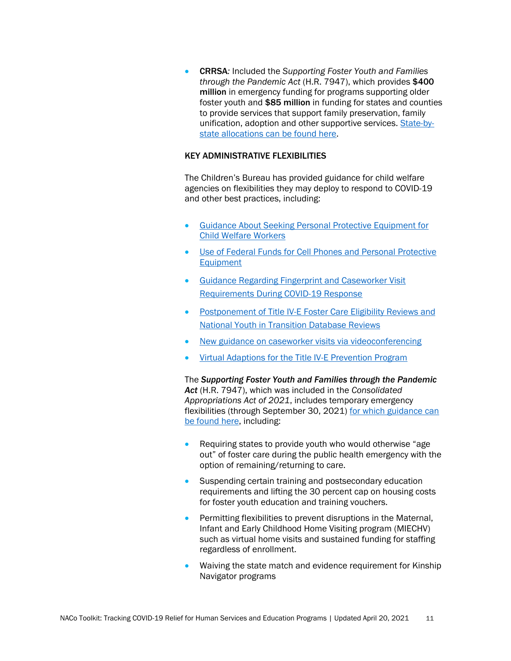• CRRSA*:* Included the *Supporting Foster Youth and Families through the Pandemic Act* (H.R. 7947), which provides \$400 million in emergency funding for programs supporting older foster youth and \$85 million in funding for states and counties to provide services that support family preservation, family unification, adoption and other supportive services. [State-by](https://www.acf.hhs.gov/sites/default/files/documents/cb/pi2104.pdf)[state allocations can be found here.](https://www.acf.hhs.gov/sites/default/files/documents/cb/pi2104.pdf)

### KEY ADMINISTRATIVE FLEXIBILITIES

The Children's Bureau has provided guidance for child welfare agencies on flexibilities they may deploy to respond to COVID-19 and other best practices, including:

- [Guidance About Seeking Personal Protective Equipment for](https://www.acf.hhs.gov/cb/resource/guidance-protective-equipment-child-welfare)  [Child Welfare Workers](https://www.acf.hhs.gov/cb/resource/guidance-protective-equipment-child-welfare)
- [Use of Federal Funds for Cell Phones and Personal Protective](https://www.acf.hhs.gov/cb/resource/letter-federal-funds)  [Equipment](https://www.acf.hhs.gov/cb/resource/letter-federal-funds)
- [Guidance Regarding Fingerprint and Caseworker Visit](https://www.acf.hhs.gov/cb/resource/guidance-visit-during-covid19)  [Requirements During COVID-19 Response](https://www.acf.hhs.gov/cb/resource/guidance-visit-during-covid19)
- Postponement of Title IV-E Foster Care Eligibility Reviews and [National Youth in Transition Database Reviews](https://www.acf.hhs.gov/cb/resource/covid19-letter-nytd-reviews)
- [New guidance on caseworker visits via videoconferencing](https://www.acf.hhs.gov/cb/resource/guidance-caseworker-visits-videoconferencing)
- [Virtual Adaptions for the Title IV-E Prevention Program](https://www.acf.hhs.gov/cb/policy-guidance/title-iv-e-prevention-program)

The *Supporting Foster Youth and Families through the Pandemic Act* (H.R. 7947), which was included in the *Consolidated Appropriations Act of 2021*, includes temporary emergency flexibilities (through September 30, 2021) [for which guidance can](https://www.acf.hhs.gov/sites/default/files/documents/cb/pi2104.pdf)  [be found here,](https://www.acf.hhs.gov/sites/default/files/documents/cb/pi2104.pdf) including:

- Requiring states to provide youth who would otherwise "age" out" of foster care during the public health emergency with the option of remaining/returning to care.
- Suspending certain training and postsecondary education requirements and lifting the 30 percent cap on housing costs for foster youth education and training vouchers.
- Permitting flexibilities to prevent disruptions in the Maternal, Infant and Early Childhood Home Visiting program (MIECHV) such as virtual home visits and sustained funding for staffing regardless of enrollment.
- Waiving the state match and evidence requirement for Kinship Navigator programs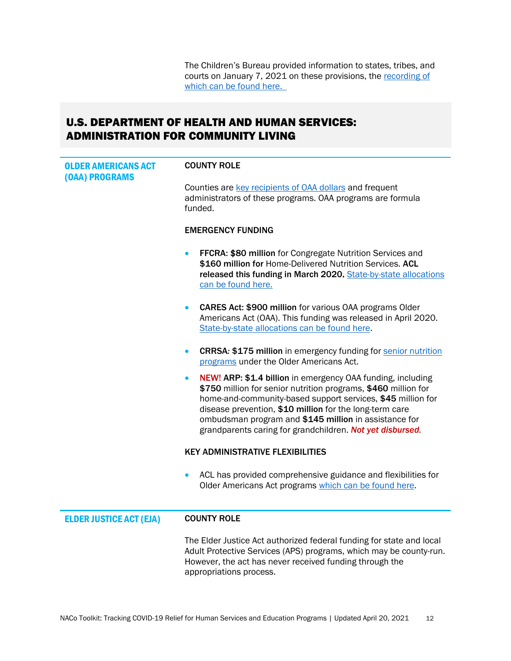The Children's Bureau provided information to states, tribes, and courts on January 7, 2021 on these provisions, the recording of which can be found here.

## <span id="page-11-0"></span>U.S. DEPARTMENT OF HEALTH AND HUMAN SERVICES: ADMINISTRATION FOR COMMUNITY LIVING

<span id="page-11-2"></span><span id="page-11-1"></span>

| <b>OLDER AMERICANS ACT</b><br>(OAA) PROGRAMS | <b>COUNTY ROLE</b>                                                                                                                                                                                                                                                                                                                                                            |
|----------------------------------------------|-------------------------------------------------------------------------------------------------------------------------------------------------------------------------------------------------------------------------------------------------------------------------------------------------------------------------------------------------------------------------------|
|                                              | Counties are key recipients of OAA dollars and frequent<br>administrators of these programs. OAA programs are formula<br>funded.                                                                                                                                                                                                                                              |
|                                              | <b>EMERGENCY FUNDING</b>                                                                                                                                                                                                                                                                                                                                                      |
|                                              | FFCRA: \$80 million for Congregate Nutrition Services and<br>\$160 million for Home-Delivered Nutrition Services. ACL<br>released this funding in March 2020. State-by-state allocations<br>can be found here.                                                                                                                                                                |
|                                              | CARES Act: \$900 million for various OAA programs Older<br>$\bullet$<br>Americans Act (OAA). This funding was released in April 2020.<br>State-by-state allocations can be found here.                                                                                                                                                                                        |
|                                              | <b>CRRSA: \$175 million</b> in emergency funding for senior nutrition<br>$\bullet$<br>programs under the Older Americans Act.                                                                                                                                                                                                                                                 |
|                                              | NEW! ARP: \$1.4 billion in emergency OAA funding, including<br>\$750 million for senior nutrition programs, \$460 million for<br>home-and-community-based support services, \$45 million for<br>disease prevention, \$10 million for the long-term care<br>ombudsman program and \$145 million in assistance for<br>grandparents caring for grandchildren. Not yet disbursed. |
|                                              | <b>KEY ADMINISTRATIVE FLEXIBILITIES</b>                                                                                                                                                                                                                                                                                                                                       |
|                                              | ACL has provided comprehensive guidance and flexibilities for<br>$\bullet$<br>Older Americans Act programs which can be found here.                                                                                                                                                                                                                                           |
| <b>ELDER JUSTICE ACT (EJA)</b>               | <b>COUNTY ROLE</b>                                                                                                                                                                                                                                                                                                                                                            |
|                                              | The Elder Justice Act authorized federal funding for state and local<br>Adult Protective Services (APS) programs, which may be county-run.<br>However, the act has never received funding through the<br>appropriations process.                                                                                                                                              |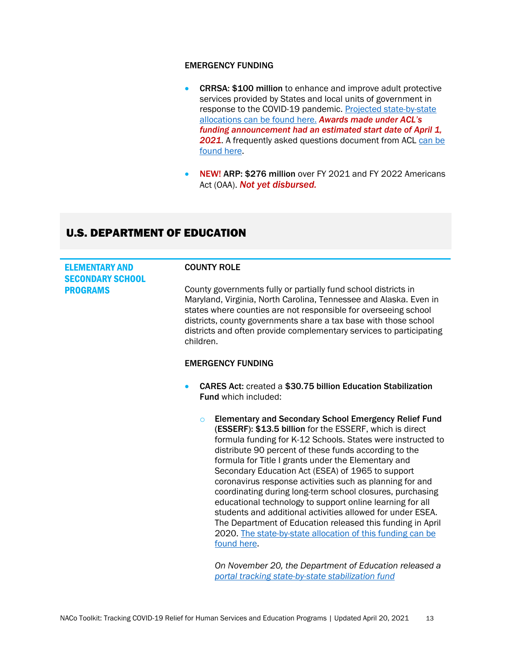### EMERGENCY FUNDING

- CRRSA: \$100 million to enhance and improve adult protective services provided by States and local units of government in response to the COVID-19 pandemic. Projected state-by-state [allocations can be found here.](https://www.federalregister.gov/documents/2021/02/01/2021-02091/availability-of-program-application-instructions-for-adult-protective-services-funding) *Awards made under ACL's funding announcement had an estimated start date of April 1,*  2021. A frequently asked questions document from ACL can be [found here.](https://acl.gov/sites/default/files/common/ACL_APS_Grants_FAQ_02.01.21.pdf)
- NEW! ARP: \$276 million over FY 2021 and FY 2022 Americans Act (OAA). *Not yet disbursed.*

## <span id="page-12-0"></span>U.S. DEPARTMENT OF EDUCATION

<span id="page-12-1"></span>

| <b>ELEMENTARY AND</b><br><b>SECONDARY SCHOOL</b> | <b>COUNTY ROLE</b>                                                                                                                                                                                                                                                                                                                                                                                                                                                                                                                                                                                                                                                                                                                                                      |
|--------------------------------------------------|-------------------------------------------------------------------------------------------------------------------------------------------------------------------------------------------------------------------------------------------------------------------------------------------------------------------------------------------------------------------------------------------------------------------------------------------------------------------------------------------------------------------------------------------------------------------------------------------------------------------------------------------------------------------------------------------------------------------------------------------------------------------------|
| <b>PROGRAMS</b>                                  | County governments fully or partially fund school districts in<br>Maryland, Virginia, North Carolina, Tennessee and Alaska. Even in<br>states where counties are not responsible for overseeing school<br>districts, county governments share a tax base with those school<br>districts and often provide complementary services to participating<br>children.                                                                                                                                                                                                                                                                                                                                                                                                          |
|                                                  | <b>EMERGENCY FUNDING</b>                                                                                                                                                                                                                                                                                                                                                                                                                                                                                                                                                                                                                                                                                                                                                |
|                                                  | <b>CARES Act: created a \$30.75 billion Education Stabilization</b><br>$\bullet$<br><b>Fund which included:</b>                                                                                                                                                                                                                                                                                                                                                                                                                                                                                                                                                                                                                                                         |
|                                                  | <b>Elementary and Secondary School Emergency Relief Fund</b><br>$\Omega$<br>(ESSERF): \$13.5 billion for the ESSERF, which is direct<br>formula funding for K-12 Schools. States were instructed to<br>distribute 90 percent of these funds according to the<br>formula for Title I grants under the Elementary and<br>Secondary Education Act (ESEA) of 1965 to support<br>coronavirus response activities such as planning for and<br>coordinating during long-term school closures, purchasing<br>educational technology to support online learning for all<br>students and additional activities allowed for under ESEA.<br>The Department of Education released this funding in April<br>2020. The state-by-state allocation of this funding can be<br>found here. |

*On November 20, the Department of Education released a [portal tracking state-by-state stabilization fund](https://covid-relief-data.ed.gov/?utm_content=&utm_medium=email&utm_name=&utm_source=govdelivery&utm_term=)*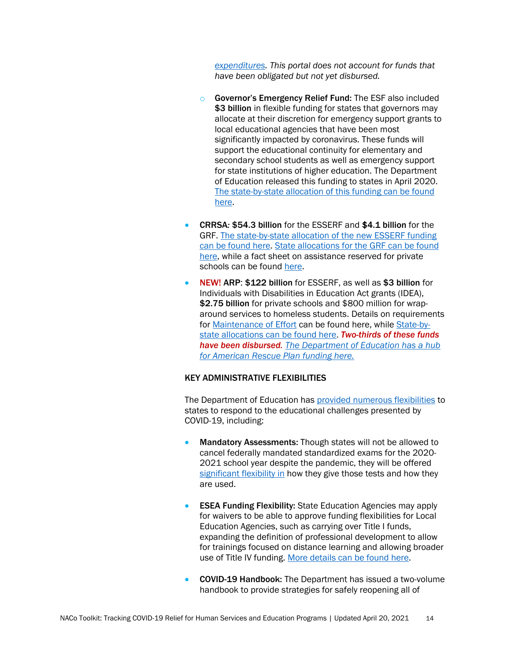*[expenditures.](https://covid-relief-data.ed.gov/?utm_content=&utm_medium=email&utm_name=&utm_source=govdelivery&utm_term=) This portal does not account for funds that have been obligated but not yet disbursed.*

- o Governor's Emergency Relief Fund: The ESF also included \$3 billion in flexible funding for states that governors may allocate at their discretion for emergency support grants to local educational agencies that have been most significantly impacted by coronavirus. These funds will support the educational continuity for elementary and secondary school students as well as emergency support for state institutions of higher education. The Department of Education released this funding to states in April 2020. [The state-by-state allocation of this funding can be found](https://oese.ed.gov/files/2020/04/GEER-Fund-State-Allocations-Table.pdf)  [here.](https://oese.ed.gov/files/2020/04/GEER-Fund-State-Allocations-Table.pdf)
- CRRSA*:* \$54.3 billion for the ESSERF and \$4.1 billion for the GRF. [The state-by-state allocation of the new ESSERF funding](https://oese.ed.gov/files/2021/01/Final_ESSERII_Methodology_Table_1.5.21.pdf)  [can be found here.](https://oese.ed.gov/files/2021/01/Final_ESSERII_Methodology_Table_1.5.21.pdf) [State allocations for the GRF can be found](https://oese.ed.gov/files/2021/01/FINAL_GEERII_EANS-Methodology_Table_1.8.211.pdf)  [here,](https://oese.ed.gov/files/2021/01/FINAL_GEERII_EANS-Methodology_Table_1.8.211.pdf) while a fact sheet on assistance reserved for private schools can be found [here.](https://oese.ed.gov/offices/education-stabilization-fund/emergency-assistance-non-public-schools/)
- NEW! ARP: \$122 billion for ESSERF, as well as \$3 billion for Individuals with Disabilities in Education Act grants (IDEA), \$2.75 billion for private schools and \$800 million for wraparound services to homeless students. Details on requirements for [Maintenance of Effort](https://oese.ed.gov/files/2021/04/MOE-Chart_with-waiver-FAQs_FINAL_4.19.21_12pm.pdf) can be found here, while [State-by](https://oese.ed.gov/files/2021/03/FINAL_ARP-ESSER-Methodology-and-Table.pdf)[state allocations can be found here.](https://oese.ed.gov/files/2021/03/FINAL_ARP-ESSER-Methodology-and-Table.pdf) *Two-thirds of these funds have been disbursed. [The Department of Education has a hub](https://oese.ed.gov/offices/american-rescue-plan/american-rescue-plan-elementary-and-secondary-school-emergency-relief/)  [for American Rescue Plan funding here.](https://oese.ed.gov/offices/american-rescue-plan/american-rescue-plan-elementary-and-secondary-school-emergency-relief/)*

### KEY ADMINISTRATIVE FLEXIBILITIES

The Department of Education has [provided numerous flexibilities](https://www.ed.gov/coronavirus/waivers-and-flexibility) to states to respond to the educational challenges presented by COVID-19, including:

- Mandatory Assessments: Though states will not be allowed to cancel federally mandated standardized exams for the 2020- 2021 school year despite the pandemic, they will be offered [significant flexibility in](https://www2.ed.gov/policy/elsec/guid/stateletters/dcl-assessments-and-acct-022221.pdf?utm_content=&utm_medium=email&utm_name=&utm_source=govdelivery&utm_term=) how they give those tests and how they are used.
- ESEA Funding Flexibility: State Education Agencies may apply for waivers to be able to approve funding flexibilities for Local Education Agencies, such as carrying over Title I funds, expanding the definition of professional development to allow for trainings focused on distance learning and allowing broader use of Title IV funding. [More details can be found here.](https://oese.ed.gov/files/2020/04/invite-covid-fiscal-waiver-19-20.pdf)
- COVID-19 Handbook: The Department has issued a two-volume handbook to provide strategies for safely reopening all of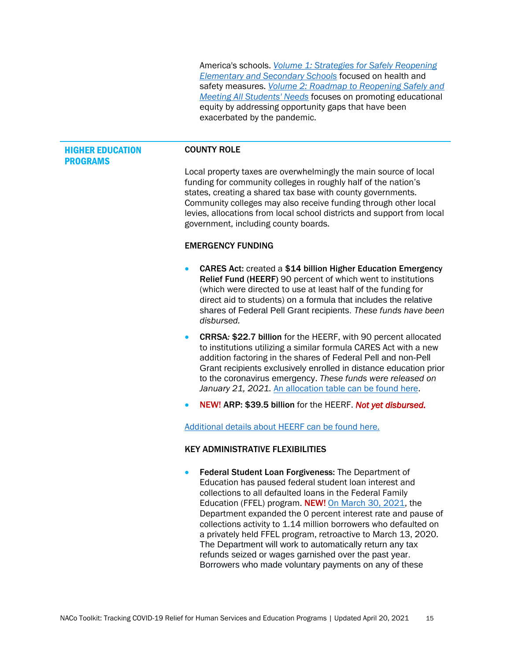America's schools. *[Volume 1: Strategies for Safely Reopening](https://www2.ed.gov/documents/coronavirus/reopening.pdf?utm_content=&utm_medium=email&utm_name=&utm_source=govdelivery&utm_term=)  [Elementary and Secondary Schools](https://www2.ed.gov/documents/coronavirus/reopening.pdf?utm_content=&utm_medium=email&utm_name=&utm_source=govdelivery&utm_term=)* focused on health and safety measures. *[Volume 2: Roadmap to Reopening Safely and](https://www2.ed.gov/documents/coronavirus/reopening-2.pdf?utm_content=&utm_medium=email&utm_name=&utm_source=govdelivery&utm_term=)  [Meeting All Students' Needs](https://www2.ed.gov/documents/coronavirus/reopening-2.pdf?utm_content=&utm_medium=email&utm_name=&utm_source=govdelivery&utm_term=)* focuses on promoting educational equity by addressing opportunity gaps that have been exacerbated by the pandemic.

#### <span id="page-14-0"></span>HIGHER EDUCATION PROGRAMS

#### COUNTY ROLE

Local property taxes are overwhelmingly the main source of local funding for community colleges in roughly half of the nation's states, creating a shared tax base with county governments. Community colleges may also receive funding through other local levies, allocations from local school districts and support from local government, including county boards.

#### EMERGENCY FUNDING

- CARES Act: created a \$14 billion Higher Education Emergency Relief Fund (HEERF) 90 percent of which went to institutions (which were directed to use at least half of the funding for direct aid to students) on a formula that includes the relative shares of Federal Pell Grant recipients. *These funds have been disbursed.*
- CRRSA*:* \$22.7 billion for the HEERF, with 90 percent allocated to institutions utilizing a similar formula CARES Act with a new addition factoring in the shares of Federal Pell and non-Pell Grant recipients exclusively enrolled in distance education prior to the coronavirus emergency. *These funds were released on January 21, 2021.* [An allocation table can be found here.](https://www2.ed.gov/about/offices/list/ope/314a1allocationtableheerfii.pdf)
- NEW! ARP: \$39.5 billion for the HEERF. *Not yet disbursed.*

[Additional details about HEERF can be found here.](https://www2.ed.gov/about/offices/list/ope/caresact.html)

#### KEY ADMINISTRATIVE FLEXIBILITIES

• Federal Student Loan Forgiveness: The Department of Education has paused federal student loan interest and collections to all defaulted loans in the Federal Family Education (FFEL) program. NEW! [On March 30, 2021,](https://www.ed.gov/news/press-releases/department-education-announces-expansion-covid-19-emergency-flexibilities-additional-federal-student-loans-default) the Department expanded the 0 percent interest rate and pause of collections activity to 1.14 million borrowers who defaulted on a privately held FFEL program, retroactive to March 13, 2020. The Department will work to automatically return any tax refunds seized or wages garnished over the past year. Borrowers who made voluntary payments on any of these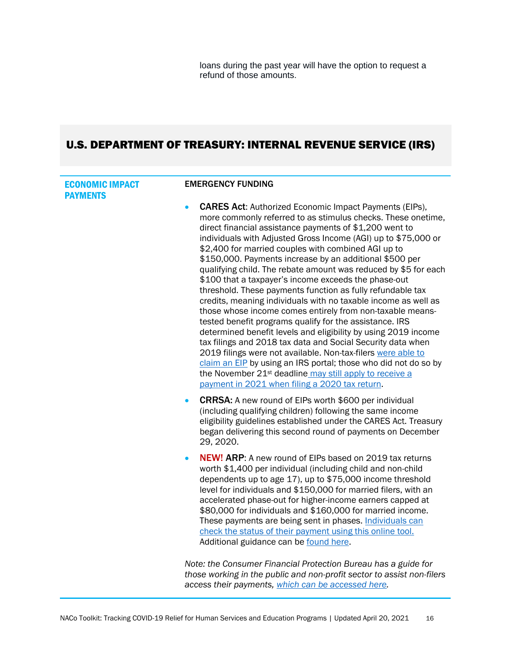loans during the past year will have the option to request a refund of those amounts.

# <span id="page-15-0"></span>U.S. DEPARTMENT OF TREASURY: INTERNAL REVENUE SERVICE (IRS)

<span id="page-15-1"></span>

| <b>ECONOMIC IMPACT</b><br><b>PAYMENTS</b> | <b>EMERGENCY FUNDING</b>                                                                                                                                                                                                                                                                                                                                                                                                                                                                                                                                                                                                                                                                                                                                                                                                                                                                                                                                                                                                                                                                                                                                                  |
|-------------------------------------------|---------------------------------------------------------------------------------------------------------------------------------------------------------------------------------------------------------------------------------------------------------------------------------------------------------------------------------------------------------------------------------------------------------------------------------------------------------------------------------------------------------------------------------------------------------------------------------------------------------------------------------------------------------------------------------------------------------------------------------------------------------------------------------------------------------------------------------------------------------------------------------------------------------------------------------------------------------------------------------------------------------------------------------------------------------------------------------------------------------------------------------------------------------------------------|
|                                           | <b>CARES Act:</b> Authorized Economic Impact Payments (EIPs),<br>$\bullet$<br>more commonly referred to as stimulus checks. These onetime,<br>direct financial assistance payments of \$1,200 went to<br>individuals with Adjusted Gross Income (AGI) up to \$75,000 or<br>\$2,400 for married couples with combined AGI up to<br>\$150,000. Payments increase by an additional \$500 per<br>qualifying child. The rebate amount was reduced by \$5 for each<br>\$100 that a taxpayer's income exceeds the phase-out<br>threshold. These payments function as fully refundable tax<br>credits, meaning individuals with no taxable income as well as<br>those whose income comes entirely from non-taxable means-<br>tested benefit programs qualify for the assistance. IRS<br>determined benefit levels and eligibility by using 2019 income<br>tax filings and 2018 tax data and Social Security data when<br>2019 filings were not available. Non-tax-filers were able to<br>claim an EIP by using an IRS portal; those who did not do so by<br>the November 21 <sup>st</sup> deadline may still apply to receive a<br>payment in 2021 when filing a 2020 tax return. |
|                                           | <b>CRRSA:</b> A new round of EIPs worth \$600 per individual<br>$\bullet$<br>(including qualifying children) following the same income<br>eligibility guidelines established under the CARES Act. Treasury<br>began delivering this second round of payments on December<br>29, 2020.                                                                                                                                                                                                                                                                                                                                                                                                                                                                                                                                                                                                                                                                                                                                                                                                                                                                                     |
|                                           | <b>NEW! ARP:</b> A new round of EIPs based on 2019 tax returns<br>$\bullet$<br>worth \$1,400 per individual (including child and non-child<br>dependents up to age 17), up to \$75,000 income threshold<br>level for individuals and \$150,000 for married filers, with an<br>accelerated phase-out for higher-income earners capped at<br>\$80,000 for individuals and \$160,000 for married income.<br>These payments are being sent in phases. Individuals can<br>check the status of their payment using this online tool.<br>Additional guidance can be found here.                                                                                                                                                                                                                                                                                                                                                                                                                                                                                                                                                                                                  |
|                                           | Note: the Consumer Financial Protection Bureau has a guide for<br>those working in the public and non-profit sector to assist non-filers                                                                                                                                                                                                                                                                                                                                                                                                                                                                                                                                                                                                                                                                                                                                                                                                                                                                                                                                                                                                                                  |

*access their payments, [which can be accessed here.](https://www.consumerfinance.gov/about-us/blog/guide-helps-organizations-connect-people-to-stimulus-payment/)*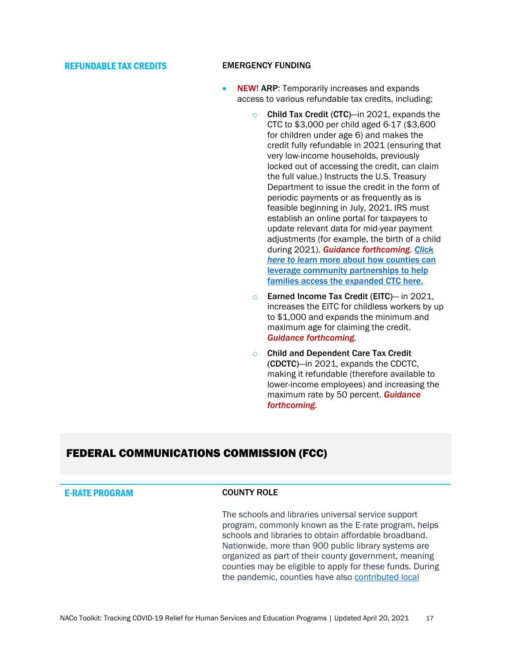### <span id="page-16-0"></span>REFUNDABLE TAX CREDITS EMERGENCY FUNDING

- **NEW! ARP:** Temporarily increases and expands access to various refundable tax credits, including:
	- o Child Tax Credit (CTC)—in 2021, expands the CTC to \$3,000 per child aged 6-17 (\$3,600 for children under age 6) and makes the credit fully refundable in 2021 (ensuring that very low-income households, previously locked out of accessing the credit, can claim the full value.) Instructs the U.S. Treasury Department to issue the credit in the form of periodic payments or as frequently as is feasible beginning in July, 2021. IRS must establish an online portal for taxpayers to update relevant data for mid-year payment adjustments (for example, the birth of a child during 2021). *Guidance forthcoming. [Click](https://www.naco.org/events/reducing-child-poverty-through-child-tax-credit)  here to l*[earn more about how counties can](https://www.naco.org/events/reducing-child-poverty-through-child-tax-credit)  [leverage community partnerships to help](https://www.naco.org/events/reducing-child-poverty-through-child-tax-credit)  [families access the expanded CTC here.](https://www.naco.org/events/reducing-child-poverty-through-child-tax-credit)
	- o Earned Income Tax Credit (EITC)— in 2021, increases the EITC for childless workers by up to \$1,000 and expands the minimum and maximum age for claiming the credit. *Guidance forthcoming.*
	- o Child and Dependent Care Tax Credit (CDCTC)*—*in 2021, expands the CDCTC, making it refundable (therefore available to lower-income employees) and increasing the maximum rate by 50 percent. *Guidance forthcoming.*

## <span id="page-16-1"></span>FEDERAL COMMUNICATIONS COMMISSION (FCC)

## <span id="page-16-2"></span>E-RATE PROGRAM COUNTY ROLE

The schools and libraries universal service support program, commonly known as the E-rate program, helps schools and libraries to obtain affordable broadband. Nationwide, more than 900 public library systems are organized as part of their county government, meaning counties may be eligible to apply for these funds. During the pandemic, counties have also [contributed local](https://www.naco.org/covid19/crf)